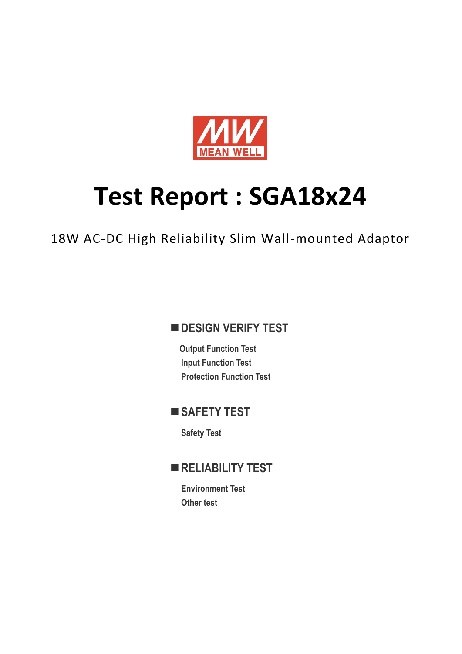

# **Test Report : SGA18x24**

18W AC-DC High Reliability Slim Wall-mounted Adaptor

## **DESIGN VERIFY TEST**

**Output Function Test Input Function Test Protection Function Test**

## **SAFETY TEST**

**Safety Test**

## **RELIABILITY TEST**

**Environment Test Other test**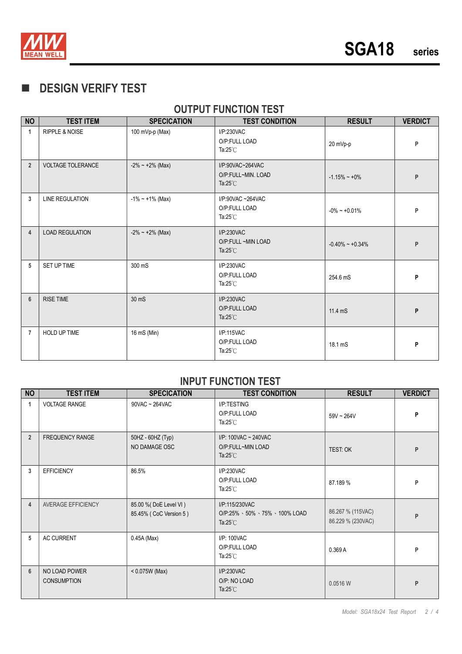

## **DESIGN VERIFY TEST**

## **OUTPUT FUNCTION TEST**

| <b>NO</b>      | <b>TEST ITEM</b>          | <b>SPECICATION</b>     | <b>TEST CONDITION</b>                                        | <b>RESULT</b>       | <b>VERDICT</b> |
|----------------|---------------------------|------------------------|--------------------------------------------------------------|---------------------|----------------|
| 1              | <b>RIPPLE &amp; NOISE</b> | 100 mVp-p (Max)        | I/P:230VAC<br>O/P:FULL LOAD<br>Ta: $25^{\circ}$ C            | 20 mVp-p            | P              |
| $\overline{2}$ | <b>VOLTAGE TOLERANCE</b>  | $-2\% \sim +2\%$ (Max) | I/P:90VAC~264VAC<br>O/P:FULL~MIN. LOAD<br>Ta: $25^{\circ}$ C | $-1.15\% - +0\%$    | P              |
| 3              | <b>LINE REGULATION</b>    | $-1\% - 1\%$ (Max)     | $I/P$ :90VAC ~264VAC<br>O/P:FULL LOAD<br>Ta: $25^{\circ}$ C  | $-0\% - 0.01\%$     | P              |
| 4              | <b>LOAD REGULATION</b>    | $-2\% \sim +2\%$ (Max) | I/P:230VAC<br>O/P:FULL ~MIN LOAD<br>Ta: $25^{\circ}$ C       | $-0.40\% - +0.34\%$ | P              |
| 5              | SET UP TIME               | 300 mS                 | I/P:230VAC<br>O/P:FULL LOAD<br>Ta: $25^{\circ}$ C            | 254.6 mS            | P              |
| $6\phantom{1}$ | <b>RISE TIME</b>          | 30 mS                  | I/P:230VAC<br>O/P:FULL LOAD<br>Ta: $25^{\circ}$ C            | 11.4 mS             | P              |
| $\overline{7}$ | <b>HOLD UP TIME</b>       | 16 mS (Min)            | I/P:115VAC<br>O/P:FULL LOAD<br>Ta: $25^{\circ}$ C            | 18.1 mS             | P              |

#### **INPUT FUNCTION TEST**

| <b>NO</b>      | <b>TEST ITEM</b>                    | <b>SPECICATION</b>                               | <b>TEST CONDITION</b>                                                 | <b>RESULT</b>                          | <b>VERDICT</b> |
|----------------|-------------------------------------|--------------------------------------------------|-----------------------------------------------------------------------|----------------------------------------|----------------|
| 1              | <b>VOLTAGE RANGE</b>                | $90$ VAC ~ $264$ VAC                             | I/P:TESTING<br>O/P:FULL LOAD<br>Ta: $25^{\circ}$ C                    | $59V - 264V$                           | P              |
| $\overline{2}$ | <b>FREQUENCY RANGE</b>              | 50HZ - 60HZ (Typ)<br>NO DAMAGE OSC               | I/P: $100$ VAC ~ $240$ VAC<br>O/P:FULL~MIN LOAD<br>Ta: $25^{\circ}$ C | TEST: OK                               | P              |
| 3              | <b>EFFICIENCY</b>                   | 86.5%                                            | I/P:230VAC<br>O/P:FULL LOAD<br>Ta: $25^{\circ}$ C                     | 87.189 %                               | P              |
| $\overline{4}$ | AVERAGE EFFICIENCY                  | 85.00 % (DoE Level VI)<br>85.45% (CoC Version 5) | I/P:115/230VAC<br>O/P:25% 、50% 、75% 、100% LOAD<br>Ta: $25^{\circ}$ C  | 86.267 % (115VAC)<br>86.229 % (230VAC) | P              |
| 5              | <b>AC CURRENT</b>                   | 0.45A (Max)                                      | I/P: 100VAC<br>O/P:FULL LOAD<br>Ta: $25^{\circ}$ C                    | 0.369A                                 | P              |
| 6              | NO LOAD POWER<br><b>CONSUMPTION</b> | $< 0.075W$ (Max)                                 | I/P:230VAC<br>O/P: NO LOAD<br>Ta: $25^{\circ}$ C                      | 0.0516 W                               | P              |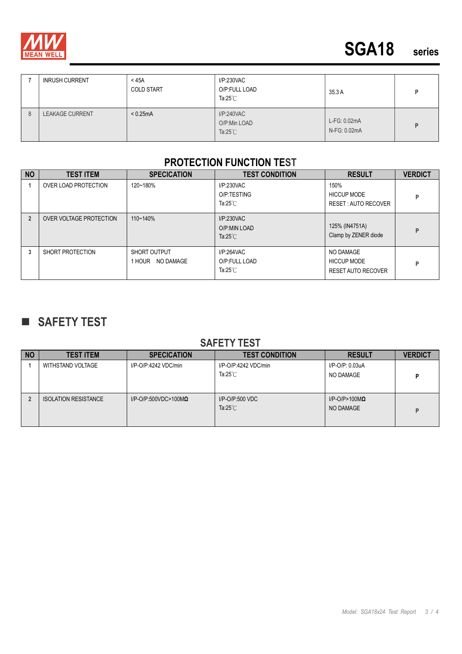

|   | <b>INRUSH CURRENT</b>  | $<$ 45A<br><b>COLD START</b> | I/P:230VAC<br>O/P:FULL LOAD<br>Ta: $25^{\circ}$ C | 35.3 A                       |   |
|---|------------------------|------------------------------|---------------------------------------------------|------------------------------|---|
| 8 | <b>LEAKAGE CURRENT</b> | < 0.25mA                     | I/P:240VAC<br>O/P:Min LOAD<br>Ta: $25^{\circ}$ C  | L-FG: 0.02mA<br>N-FG: 0.02mA | D |

#### **PROTECTION FUNCTION TEST**

| <b>NO</b>      | <b>TEST ITEM</b>        | <b>SPECICATION</b>                  | <b>TEST CONDITION</b>                             | <b>RESULT</b>                                                | <b>VERDICT</b> |
|----------------|-------------------------|-------------------------------------|---------------------------------------------------|--------------------------------------------------------------|----------------|
|                | OVER LOAD PROTECTION    | 120~180%                            | I/P:230VAC<br>O/P:TESTING<br>Ta: $25^{\circ}$ C   | 150%<br><b>HICCUP MODE</b><br><b>RESET: AUTO RECOVER</b>     | P              |
| $\overline{2}$ | OVER VOLTAGE PROTECTION | 110~140%                            | I/P:230VAC<br>O/P:MIN LOAD<br>Ta: $25^{\circ}$ C  | 125% (IN4751A)<br>Clamp by ZENER diode                       | P              |
| 3              | SHORT PROTECTION        | SHORT OUTPUT<br>NO DAMAGE<br>1 HOUR | I/P:264VAC<br>O/P:FULL LOAD<br>Ta: $25^{\circ}$ C | NO DAMAGE<br><b>HICCUP MODE</b><br><b>RESET AUTO RECOVER</b> | P              |

## **SAFETY TEST**

#### **SAFETY TEST**

| <b>NO</b> | <b>TEST ITEM</b>            | <b>SPECICATION</b>              | <b>TEST CONDITION</b>                      | <b>RESULT</b>                         | <b>VERDICT</b> |
|-----------|-----------------------------|---------------------------------|--------------------------------------------|---------------------------------------|----------------|
|           | WITHSTAND VOLTAGE           | I/P-O/P:4242 VDC/min            | I/P-O/P:4242 VDC/min<br>Ta: $25^{\circ}$ C | I/P-O/P: 0.03uA<br>NO DAMAGE          | D              |
|           | <b>ISOLATION RESISTANCE</b> | $I/P$ -O/P:500VDC>100M $\Omega$ | $I/P$ -O/P:500 VDC<br>Ta: $25^{\circ}$ C   | $I/P$ -O/P>100M $\Omega$<br>NO DAMAGE | D              |